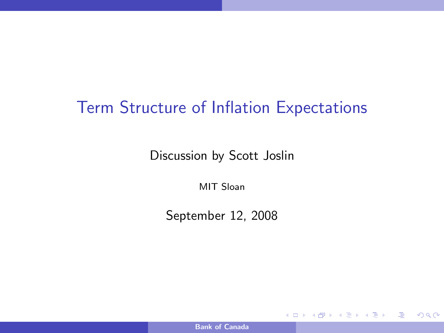# Term Structure of Inflation Expectations

Discussion by Scott Joslin

MIT Sloan

September 12, 2008

[Bank of Canada](#page-32-0)

**K ロ ▶ K 何 ▶** 

<span id="page-0-0"></span>君 わす 君 わい

画  $\eta$ are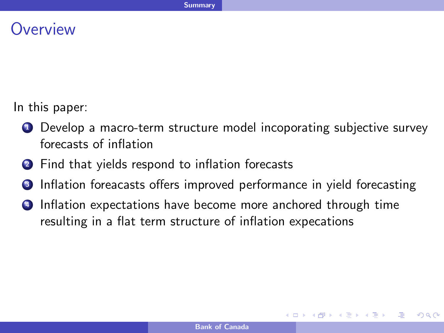#### **Overview**

In this paper:

- **1** Develop a macro-term structure model incoporating subjective survey forecasts of inflation
- <sup>2</sup> Find that yields respond to inflation forecasts
- **3** Inflation foreacasts offers improved performance in yield forecasting
- **4** Inflation expectations have become more anchored through time resulting in a flat term structure of inflation expecations

- 4 重 8 4 重 8 。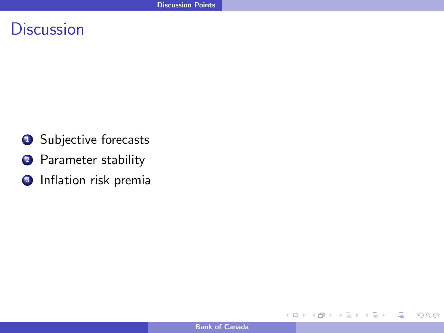## **Discussion**

- **1** Subjective forecasts
- 2 Parameter stability
- **3** Inflation risk premia

**∢ ロ ▶ → イ 冊** 

 $\sim$ 

Ξ

一本 三 下

 $\sim$ 

 $299$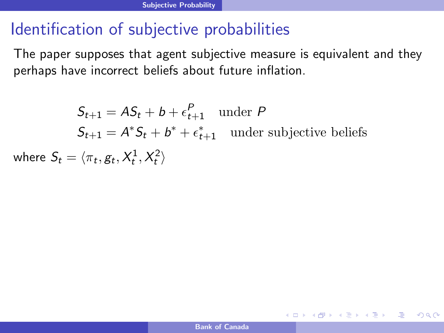# Identification of subjective probabilities

The paper supposes that agent subjective measure is equivalent and they perhaps have incorrect beliefs about future inflation.

 $S_{t+1} = AS_t + b + \epsilon_{t+1}^P$  under P  $S_{t+1} = A^* S_t + b^* + \epsilon_{t+1}^*$  under subjective beliefs where  $\mathcal{S}_t = \langle \pi_t, g_t, X^1_t, X^2_t \rangle$ 

KED KAP KED KED E VAR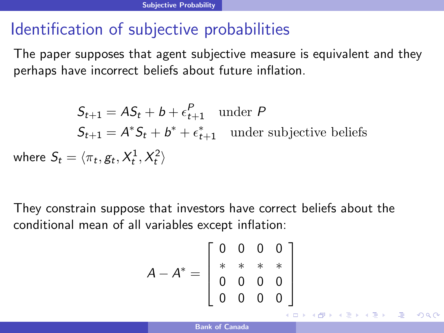# Identification of subjective probabilities

The paper supposes that agent subjective measure is equivalent and they perhaps have incorrect beliefs about future inflation.

 $S_{t+1} = AS_t + b + \epsilon_{t+1}^P$  under P  $S_{t+1} = A^* S_t + b^* + \epsilon_{t+1}^*$  under subjective beliefs where  $\mathcal{S}_t = \langle \pi_t, g_t, X^1_t, X^2_t \rangle$ 

They constrain suppose that investors have correct beliefs about the conditional mean of all variables except inflation:

$$
A - A^* = \left[ \begin{array}{rrr} 0 & 0 & 0 & 0 \\ * & * & * & * \\ 0 & 0 & 0 & 0 \\ 0 & 0 & 0 & 0 \end{array} \right]
$$

K ロ ▶ K @ ▶ K 할 ▶ K 할 ▶ ( 할 ) 1000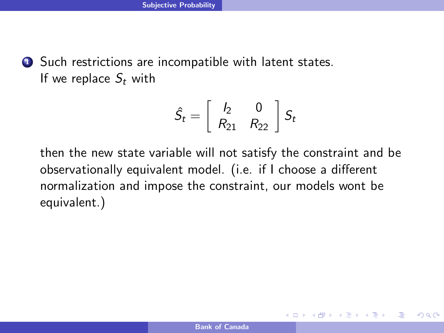**1** Such restrictions are incompatible with latent states. If we replace  $S_t$  with

$$
\hat{S}_t = \left[ \begin{array}{cc} I_2 & 0 \\ R_{21} & R_{22} \end{array} \right] S_t
$$

then the new state variable will not satisfy the constraint and be observationally equivalent model. (i.e. if I choose a different normalization and impose the constraint, our models wont be equivalent.)

**←ロ ▶ ← ← 冊 ▶** 

化重变 化重变化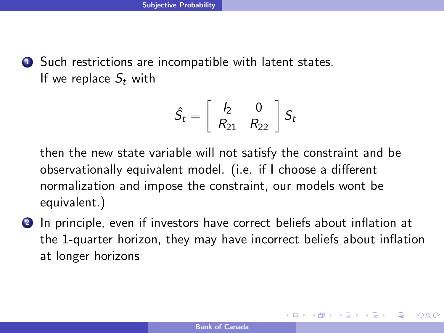**1** Such restrictions are incompatible with latent states. If we replace  $S_t$  with

$$
\hat{S}_t = \left[ \begin{array}{cc} I_2 & 0 \\ R_{21} & R_{22} \end{array} \right] S_t
$$

then the new state variable will not satisfy the constraint and be observationally equivalent model. (i.e. if I choose a different normalization and impose the constraint, our models wont be equivalent.)

2 In principle, even if investors have correct beliefs about inflation at the 1-quarter horizon, they may have incorrect beliefs about inflation at longer horizons

メロト メ何 トメ ミト メ ミトー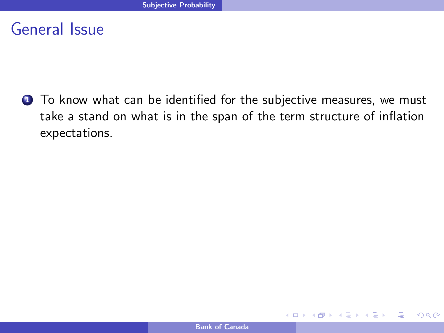**1** To know what can be identified for the subjective measures, we must take a stand on what is in the span of the term structure of inflation expectations.

**∢ ロ ▶ → イ 冊** 

ミメスミメ

 $QQ$ 

画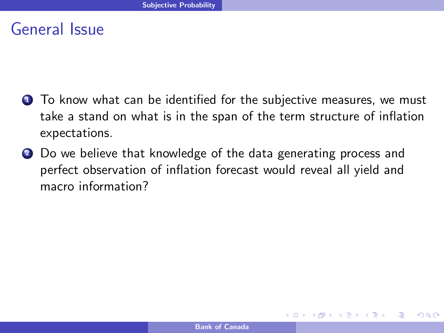- **1** To know what can be identified for the subjective measures, we must take a stand on what is in the span of the term structure of inflation expectations.
- 2 Do we believe that knowledge of the data generating process and perfect observation of inflation forecast would reveal all yield and macro information?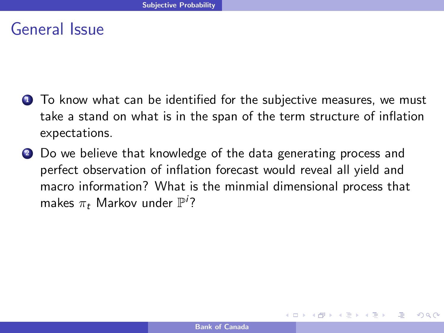- **1** To know what can be identified for the subjective measures, we must take a stand on what is in the span of the term structure of inflation expectations.
- 2 Do we believe that knowledge of the data generating process and perfect observation of inflation forecast would reveal all yield and macro information? What is the minmial dimensional process that makes  $\pi_t$  Markov under  $\mathbb{P}^i$ ?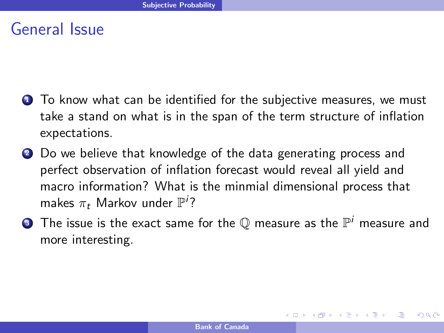- **1** To know what can be identified for the subjective measures, we must take a stand on what is in the span of the term structure of inflation expectations.
- 2 Do we believe that knowledge of the data generating process and perfect observation of inflation forecast would reveal all yield and macro information? What is the minmial dimensional process that makes  $\pi_t$  Markov under  $\mathbb{P}^i$ ?
- $\bullet$  The issue is the exact same for the  ${\mathbb Q}$  measure as the  ${\mathbb P}^i$  measure and more interesting.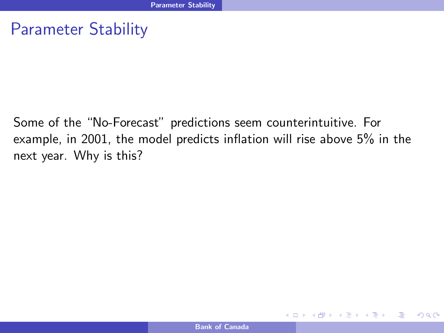#### Parameter Stability

Some of the "No-Forecast" predictions seem counterintuitive. For example, in 2001, the model predicts inflation will rise above 5% in the next year. Why is this?

**←ロ ▶ ← ← 冊 ▶** 

- 4 重 8 3 重 8

 $QQ$ 

画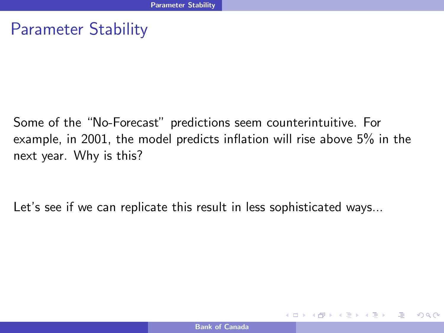#### Parameter Stability

Some of the "No-Forecast" predictions seem counterintuitive. For example, in 2001, the model predicts inflation will rise above 5% in the next year. Why is this?

Let's see if we can replicate this result in less sophisticated ways...

イロト イ母 トイヨ トイヨ トー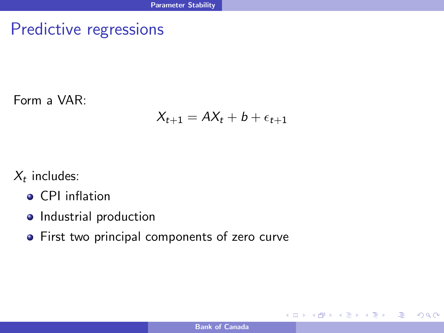## Predictive regressions

Form a VAR:

#### $X_{t+1} = AX_t + b + \epsilon_{t+1}$

 $X_t$  includes:

- **•** CPI inflation
- Industrial production
- **•** First two principal components of zero curve

イロメ イ何メ イヨメ イヨメー

画  $\eta$ an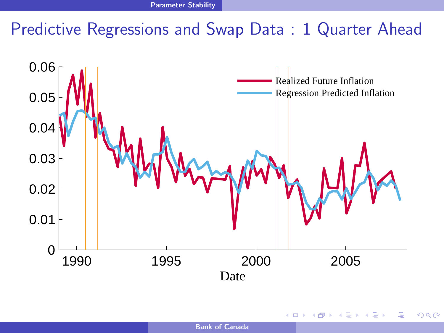# Predictive Regressions and Swap Data : 1 Quarter Ahead



4 0 8

 $QQ$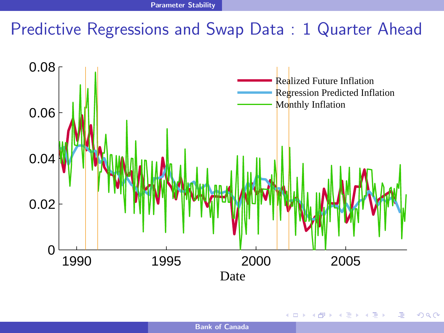# Predictive Regressions and Swap Data : 1 Quarter Ahead



**€ □ >** 

 $QQ$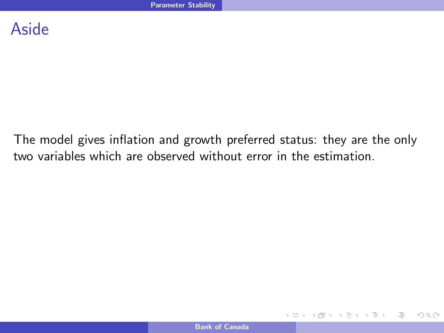#### Aside

The model gives inflation and growth preferred status: they are the only two variables which are observed without error in the estimation.

**←ロ ▶ ← ← 冊 ▶** 

画  $\eta$ a

점 ▶ ㅋ 점 ▶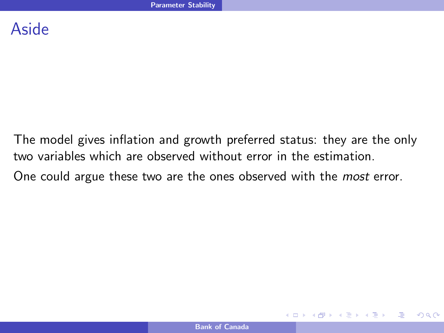#### Aside

The model gives inflation and growth preferred status: they are the only two variables which are observed without error in the estimation.

One could argue these two are the ones observed with the *most* error.

**←ロ ▶ ← ← 冊 ▶** 

- イヨメ イヨメ

庄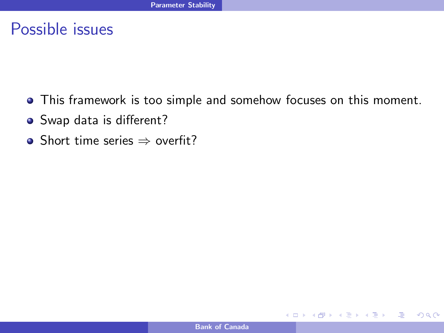#### Possible issues

- This framework is too simple and somehow focuses on this moment.
- Swap data is different?
- Short time series  $\Rightarrow$  overfit?

**∢ ロ ▶ 《 何** 

 $QQ$ 

画

おす 国家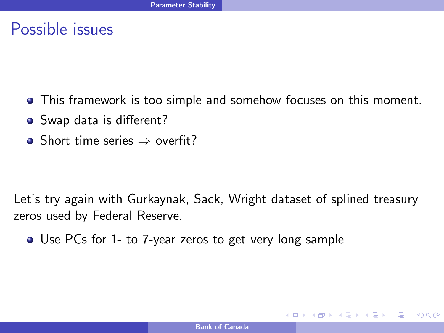#### Possible issues

- This framework is too simple and somehow focuses on this moment.
- Swap data is different?
- Short time series  $\Rightarrow$  overfit?

Let's try again with Gurkaynak, Sack, Wright dataset of splined treasury zeros used by Federal Reserve.

Use PCs for 1- to 7-year zeros to get very long sample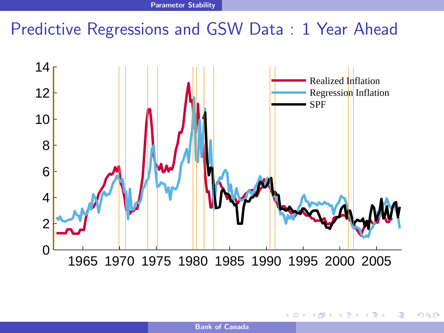# Predictive Regressions and GSW Data : 1 Year Ahead



4 0 F

 $QQ$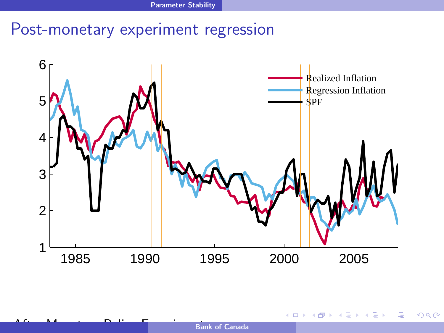## Post-monetary experiment regression



4 0 8 ×.  $\sim$ 41 ∍  $\sim$   $299$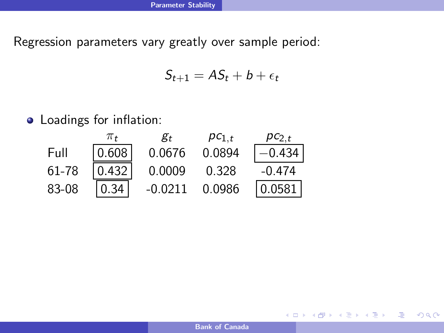Regression parameters vary greatly over sample period:

$$
S_{t+1} = AS_t + b + \epsilon_t
$$

Loadings for inflation:



 $\equiv$ 

メロメ メ何メ メミメ メミメ

 $QQ$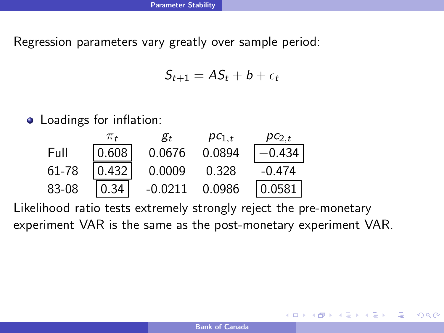Regression parameters vary greatly over sample period:

$$
S_{t+1} = AS_t + b + \epsilon_t
$$

• Loadings for inflation:



Likelihood ratio tests extremely strongly reject the pre-monetary experiment VAR is the same as the post-monetary experiment VAR.

4 0 8

 $2990$ 

化重复 化重变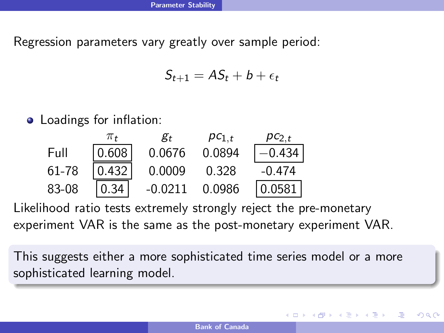Regression parameters vary greatly over sample period:

$$
S_{t+1} = AS_t + b + \epsilon_t
$$

• Loadings for inflation:



Likelihood ratio tests extremely strongly reject the pre-monetary experiment VAR is the same as the post-monetary experiment VAR.

This suggests either a more sophisticated time series model or a more sophisticated learning model.

- イヨメ イヨメ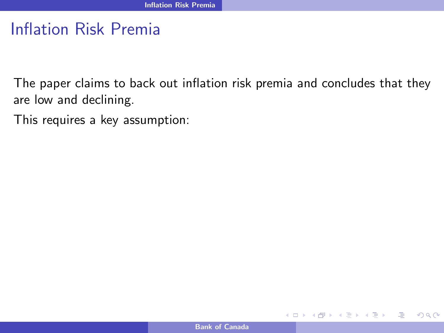The paper claims to back out inflation risk premia and concludes that they are low and declining.

This requires a key assumption:

**←ロ ▶ ← ← 冊 ▶** 

ミメスミメ

 $\eta$ a

画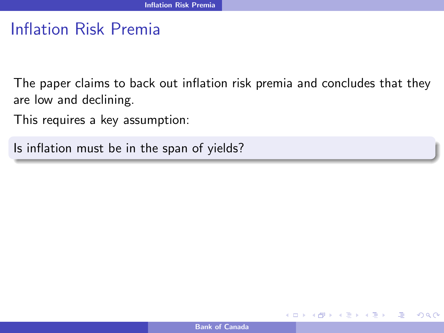The paper claims to back out inflation risk premia and concludes that they are low and declining.

This requires a key assumption:

Is inflation must be in the span of yields?

**€ □ >**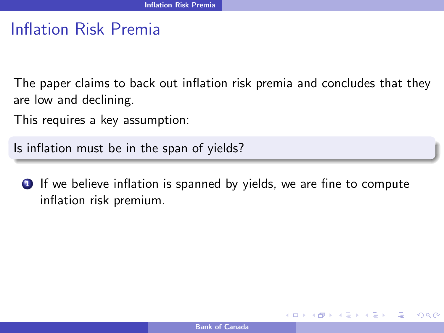The paper claims to back out inflation risk premia and concludes that they are low and declining.

This requires a key assumption:

Is inflation must be in the span of yields?

**1** If we believe inflation is spanned by yields, we are fine to compute inflation risk premium.

手下 メラト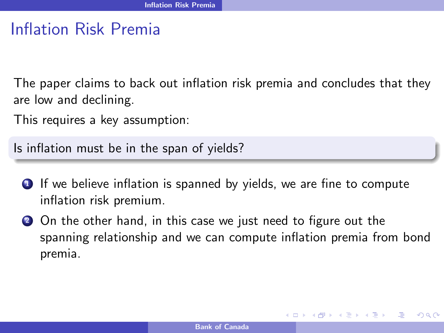The paper claims to back out inflation risk premia and concludes that they are low and declining.

This requires a key assumption:

Is inflation must be in the span of yields?

- **1** If we believe inflation is spanned by yields, we are fine to compute inflation risk premium.
- 2 On the other hand, in this case we just need to figure out the spanning relationship and we can compute inflation premia from bond premia.

イロト イ母 トイヨ トイヨ トー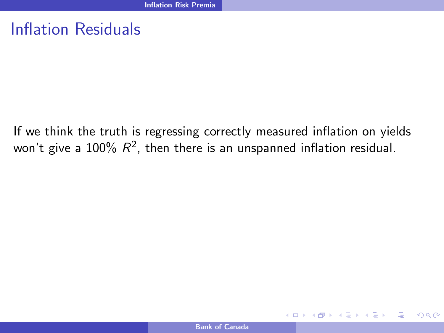# Inflation Residuals

If we think the truth is regressing correctly measured inflation on yields won't give a 100%  $R^2$ , then there is an unspanned inflation residual.

**K ロ ▶ K 何 ▶** 

ほう メラト

 $QQ$ 

画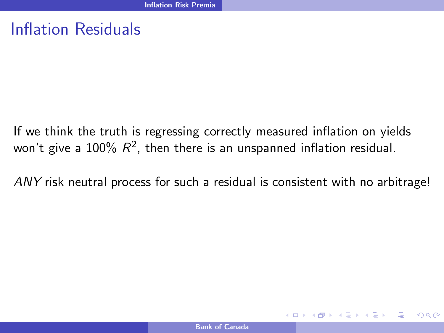## Inflation Residuals

If we think the truth is regressing correctly measured inflation on yields won't give a 100%  $R^2$ , then there is an unspanned inflation residual.

ANY risk neutral process for such a residual is consistent with no arbitrage!

イロメ イ押メ イヨメ イヨメー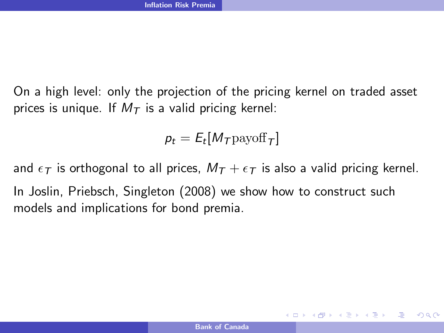On a high level: only the projection of the pricing kernel on traded asset prices is unique. If  $M<sub>T</sub>$  is a valid pricing kernel:

$$
p_t = E_t[M_T \text{payoff}_T]
$$

and  $\epsilon_T$  is orthogonal to all prices,  $M_T + \epsilon_T$  is also a valid pricing kernel. In Joslin, Priebsch, Singleton (2008) we show how to construct such models and implications for bond premia.

KED KAP KED KED E VAR